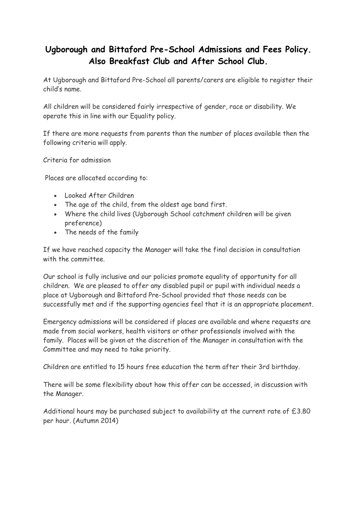# **Ugborough and Bittaford Pre-School Admissions and Fees Policy. Also Breakfast Club and After School Club.**

At Ugborough and Bittaford Pre-School all parents/carers are eligible to register their child's name.

All children will be considered fairly irrespective of gender, race or disability. We operate this in line with our Equality policy.

If there are more requests from parents than the number of places available then the following criteria will apply.

Criteria for admission

Places are allocated according to:

- Looked After Children
- The age of the child, from the oldest age band first.
- Where the child lives (Ugborough School catchment children will be given preference)
- The needs of the family

If we have reached capacity the Manager will take the final decision in consultation with the committee.

Our school is fully inclusive and our policies promote equality of opportunity for all children. We are pleased to offer any disabled pupil or pupil with individual needs a place at Ugborough and Bittaford Pre-School provided that those needs can be successfully met and if the supporting agencies feel that it is an appropriate placement.

Emergency admissions will be considered if places are available and where requests are made from social workers, health visitors or other professionals involved with the family. Places will be given at the discretion of the Manager in consultation with the Committee and may need to take priority.

Children are entitled to 15 hours free education the term after their 3rd birthday.

There will be some flexibility about how this offer can be accessed, in discussion with the Manager.

Additional hours may be purchased subject to availability at the current rate of £3.80 per hour. (Autumn 2014)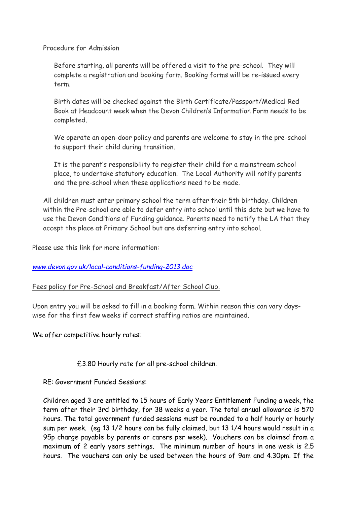Procedure for Admission

Before starting, all parents will be offered a visit to the pre-school. They will complete a registration and booking form. Booking forms will be re-issued every term.

Birth dates will be checked against the Birth Certificate/Passport/Medical Red Book at Headcount week when the Devon Children's Information Form needs to be completed.

We operate an open-door policy and parents are welcome to stay in the pre-school to support their child during transition.

It is the parent's responsibility to register their child for a mainstream school place, to undertake statutory education. The Local Authority will notify parents and the pre-school when these applications need to be made.

All children must enter primary school the term after their 5th birthday. Children within the Pre-school are able to defer entry into school until this date but we have to use the Devon Conditions of Funding guidance. Parents need to notify the LA that they accept the place at Primary School but are deferring entry into school.

Please use this link for more information:

## *[www.devon.gov.uk/local-conditions-funding-2013.doc](http://www.devon.gov.uk/local-conditions-funding-2013.doc)*

## Fees policy for Pre-School and Breakfast/After School Club.

Upon entry you will be asked to fill in a booking form. Within reason this can vary dayswise for the first few weeks if correct staffing ratios are maintained.

We offer competitive hourly rates:

## £3.80 Hourly rate for all pre-school children.

RE: Government Funded Sessions:

Children aged 3 are entitled to 15 hours of Early Years Entitlement Funding a week, the term after their 3rd birthday, for 38 weeks a year. The total annual allowance is 570 hours. The total government funded sessions must be rounded to a half hourly or hourly sum per week. (eg 13 1/2 hours can be fully claimed, but 13 1/4 hours would result in a 95p charge payable by parents or carers per week). Vouchers can be claimed from a maximum of 2 early years settings. The minimum number of hours in one week is 2.5 hours. The vouchers can only be used between the hours of 9am and 4.30pm. If the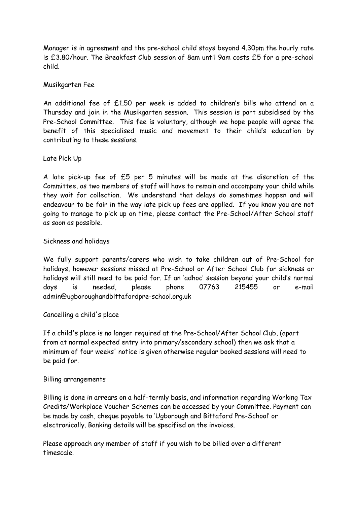Manager is in agreement and the pre-school child stays beyond 4.30pm the hourly rate is £3.80/hour. The Breakfast Club session of 8am until 9am costs £5 for a pre-school child.

### Musikgarten Fee

An additional fee of £1.50 per week is added to children's bills who attend on a Thursday and join in the Musikgarten session. This session is part subsidised by the Pre-School Committee. This fee is voluntary, although we hope people will agree the benefit of this specialised music and movement to their child's education by contributing to these sessions.

#### Late Pick Up

A late pick-up fee of £5 per 5 minutes will be made at the discretion of the Committee, as two members of staff will have to remain and accompany your child while they wait for collection. We understand that delays do sometimes happen and will endeavour to be fair in the way late pick up fees are applied. If you know you are not going to manage to pick up on time, please contact the Pre-School/After School staff as soon as possible.

#### Sickness and holidays

We fully support parents/carers who wish to take children out of Pre-School for holidays, however sessions missed at Pre-School or After School Club for sickness or holidays will still need to be paid for. If an 'adhoc' session beyond your child's normal days is needed, please phone 07763 215455 or e-mail admin@ugboroughandbittafordpre-school.org.uk

## Cancelling a child's place

If a child's place is no longer required at the Pre-School/After School Club, (apart from at normal expected entry into primary/secondary school) then we ask that a minimum of four weeks' notice is given otherwise regular booked sessions will need to be paid for.

#### Billing arrangements

Billing is done in arrears on a half-termly basis, and information regarding Working Tax Credits/Workplace Voucher Schemes can be accessed by your Committee. Payment can be made by cash, cheque payable to 'Ugborough and Bittaford Pre-School' or electronically. Banking details will be specified on the invoices.

Please approach any member of staff if you wish to be billed over a different timescale.